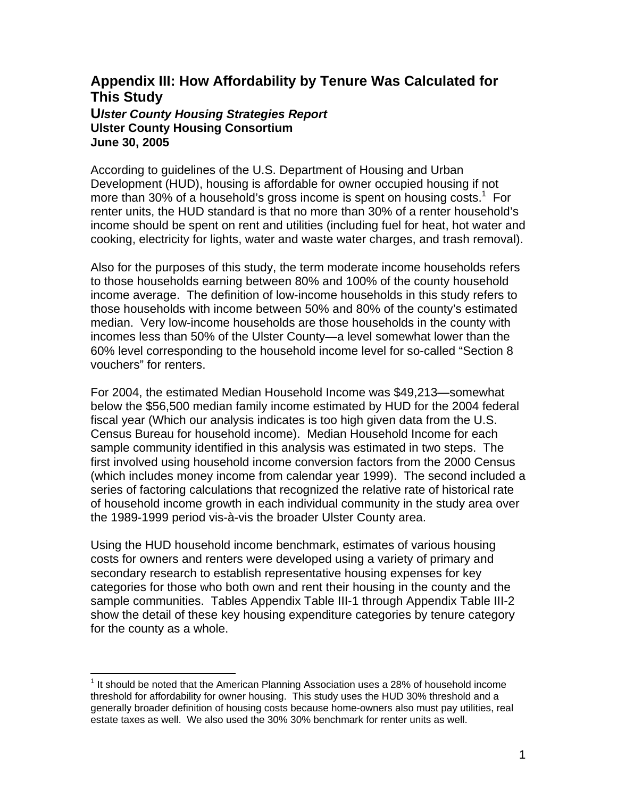## **Appendix III: How Affordability by Tenure Was Calculated for This Study U***lster County Housing Strategies Report*  **Ulster County Housing Consortium June 30, 2005**

According to guidelines of the U.S. Department of Housing and Urban Development (HUD), housing is affordable for owner occupied housing if not more than 30% of a household's gross income is spent on housing costs.<sup>[1](#page-0-0)</sup> For renter units, the HUD standard is that no more than 30% of a renter household's income should be spent on rent and utilities (including fuel for heat, hot water and cooking, electricity for lights, water and waste water charges, and trash removal).

Also for the purposes of this study, the term moderate income households refers to those households earning between 80% and 100% of the county household income average. The definition of low-income households in this study refers to those households with income between 50% and 80% of the county's estimated median. Very low-income households are those households in the county with incomes less than 50% of the Ulster County—a level somewhat lower than the 60% level corresponding to the household income level for so-called "Section 8 vouchers" for renters.

For 2004, the estimated Median Household Income was \$49,213—somewhat below the \$56,500 median family income estimated by HUD for the 2004 federal fiscal year (Which our analysis indicates is too high given data from the U.S. Census Bureau for household income). Median Household Income for each sample community identified in this analysis was estimated in two steps. The first involved using household income conversion factors from the 2000 Census (which includes money income from calendar year 1999). The second included a series of factoring calculations that recognized the relative rate of historical rate of household income growth in each individual community in the study area over the 1989-1999 period vis-à-vis the broader Ulster County area.

Using the HUD household income benchmark, estimates of various housing costs for owners and renters were developed using a variety of primary and secondary research to establish representative housing expenses for key categories for those who both own and rent their housing in the county and the sample communities. Tables Appendix Table III-1 through Appendix Table III-2 show the detail of these key housing expenditure categories by tenure category for the county as a whole.

<span id="page-0-0"></span>**TELECTE**<br><sup>1</sup> It should be noted that the American Planning Association uses a 28% of household income threshold for affordability for owner housing. This study uses the HUD 30% threshold and a generally broader definition of housing costs because home-owners also must pay utilities, real estate taxes as well. We also used the 30% 30% benchmark for renter units as well.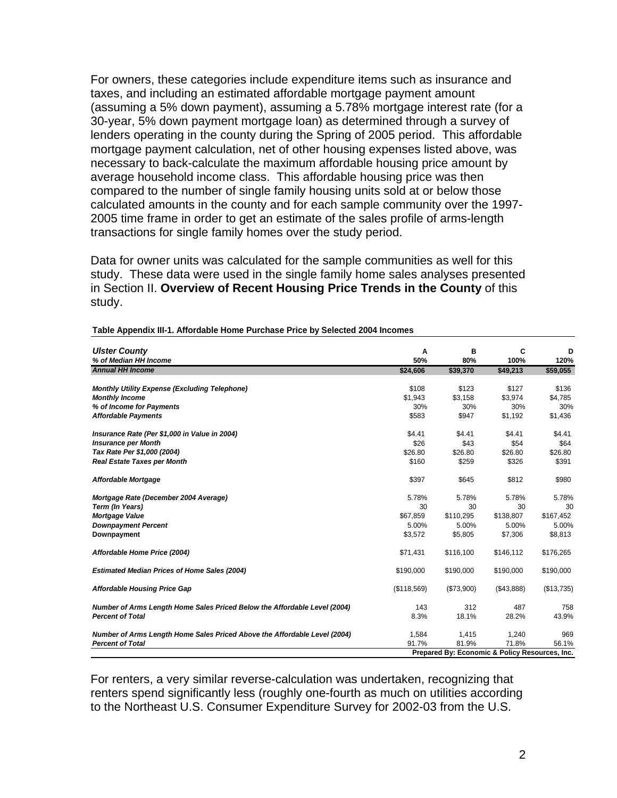For owners, these categories include expenditure items such as insurance and taxes, and including an estimated affordable mortgage payment amount (assuming a 5% down payment), assuming a 5.78% mortgage interest rate (for a 30-year, 5% down payment mortgage loan) as determined through a survey of lenders operating in the county during the Spring of 2005 period. This affordable mortgage payment calculation, net of other housing expenses listed above, was necessary to back-calculate the maximum affordable housing price amount by average household income class. This affordable housing price was then compared to the number of single family housing units sold at or below those calculated amounts in the county and for each sample community over the 1997- 2005 time frame in order to get an estimate of the sales profile of arms-length transactions for single family homes over the study period.

Data for owner units was calculated for the sample communities as well for this study. These data were used in the single family home sales analyses presented in Section II. **Overview of Recent Housing Price Trends in the County** of this study.

| <b>Ulster County</b><br>% of Median HH Income                             | Α<br>50%    | в<br>80%   | C<br>100%                                      | D<br>120%        |
|---------------------------------------------------------------------------|-------------|------------|------------------------------------------------|------------------|
| <b>Annual HH Income</b>                                                   | \$24,606    | \$39,370   | \$49,213                                       | \$59,055         |
|                                                                           | \$108       | \$123      |                                                |                  |
| <b>Monthly Utility Expense (Excluding Telephone)</b>                      | \$1,943     | \$3,158    | \$127<br>\$3,974                               | \$136<br>\$4,785 |
| <b>Monthly Income</b><br>% of Income for Payments                         | 30%         | 30%        | 30%                                            | 30%              |
|                                                                           |             |            |                                                |                  |
| <b>Affordable Payments</b>                                                | \$583       | \$947      | \$1,192                                        | \$1,436          |
| Insurance Rate (Per \$1,000 in Value in 2004)                             | \$4.41      | \$4.41     | \$4.41                                         | \$4.41           |
| <b>Insurance per Month</b>                                                | \$26        | \$43       | \$54                                           | \$64             |
| Tax Rate Per \$1,000 (2004)                                               | \$26.80     | \$26.80    | \$26.80                                        | \$26.80          |
| <b>Real Estate Taxes per Month</b>                                        | \$160       | \$259      | \$326                                          | \$391            |
| Affordable Mortgage                                                       | \$397       | \$645      | \$812                                          | \$980            |
| Mortgage Rate (December 2004 Average)                                     | 5.78%       | 5.78%      | 5.78%                                          | 5.78%            |
| Term (In Years)                                                           | 30          | 30         | 30                                             | 30               |
| Mortgage Value                                                            | \$67,859    | \$110,295  | \$138,807                                      | \$167,452        |
| <b>Downpayment Percent</b>                                                | 5.00%       | 5.00%      | 5.00%                                          | 5.00%            |
| Downpayment                                                               | \$3,572     | \$5,805    | \$7,306                                        | \$8,813          |
| Affordable Home Price (2004)                                              | \$71,431    | \$116,100  | \$146,112                                      | \$176,265        |
| <b>Estimated Median Prices of Home Sales (2004)</b>                       | \$190,000   | \$190,000  | \$190,000                                      | \$190,000        |
| <b>Affordable Housing Price Gap</b>                                       | (\$118,569) | (\$73,900) | (\$43,888)                                     | (\$13,735)       |
| Number of Arms Length Home Sales Priced Below the Affordable Level (2004) | 143         | 312        | 487                                            | 758              |
| <b>Percent of Total</b>                                                   | 8.3%        | 18.1%      | 28.2%                                          | 43.9%            |
| Number of Arms Length Home Sales Priced Above the Affordable Level (2004) | 1,584       | 1,415      | 1,240                                          | 969              |
| <b>Percent of Total</b>                                                   | 91.7%       | 81.9%      | 71.8%                                          | 56.1%            |
|                                                                           |             |            | Prepared By: Economic & Policy Resources, Inc. |                  |

## **Table Appendix III-1. Affordable Home Purchase Price by Selected 2004 Incomes**

For renters, a very similar reverse-calculation was undertaken, recognizing that renters spend significantly less (roughly one-fourth as much on utilities according to the Northeast U.S. Consumer Expenditure Survey for 2002-03 from the U.S.